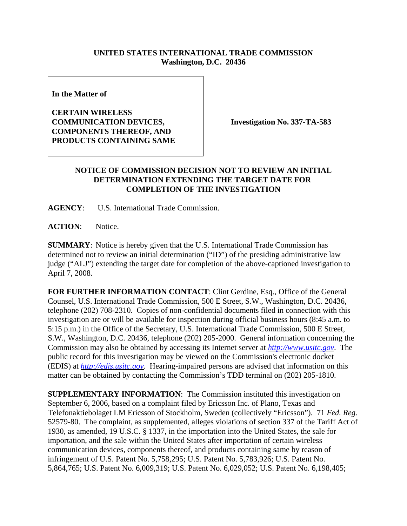## **UNITED STATES INTERNATIONAL TRADE COMMISSION Washington, D.C. 20436**

**In the Matter of** 

**CERTAIN WIRELESS COMMUNICATION DEVICES, COMPONENTS THEREOF, AND PRODUCTS CONTAINING SAME**

**Investigation No. 337-TA-583**

## **NOTICE OF COMMISSION DECISION NOT TO REVIEW AN INITIAL DETERMINATION EXTENDING THE TARGET DATE FOR COMPLETION OF THE INVESTIGATION**

**AGENCY**: U.S. International Trade Commission.

**ACTION**: Notice.

**SUMMARY**: Notice is hereby given that the U.S. International Trade Commission has determined not to review an initial determination ("ID") of the presiding administrative law judge ("ALJ") extending the target date for completion of the above-captioned investigation to April 7, 2008.

**FOR FURTHER INFORMATION CONTACT**: Clint Gerdine, Esq., Office of the General Counsel, U.S. International Trade Commission, 500 E Street, S.W., Washington, D.C. 20436, telephone (202) 708-2310. Copies of non-confidential documents filed in connection with this investigation are or will be available for inspection during official business hours (8:45 a.m. to 5:15 p.m.) in the Office of the Secretary, U.S. International Trade Commission, 500 E Street, S.W., Washington, D.C. 20436, telephone (202) 205-2000. General information concerning the Commission may also be obtained by accessing its Internet server at *http://www.usitc.gov*. The public record for this investigation may be viewed on the Commission's electronic docket (EDIS) at *http://edis.usitc.gov*. Hearing-impaired persons are advised that information on this matter can be obtained by contacting the Commission's TDD terminal on (202) 205-1810.

**SUPPLEMENTARY INFORMATION**: The Commission instituted this investigation on September 6, 2006, based on a complaint filed by Ericsson Inc. of Plano, Texas and Telefonaktiebolaget LM Ericsson of Stockholm, Sweden (collectively "Ericsson"). 71 *Fed. Reg.* 52579-80. The complaint, as supplemented, alleges violations of section 337 of the Tariff Act of 1930, as amended, 19 U.S.C. § 1337, in the importation into the United States, the sale for importation, and the sale within the United States after importation of certain wireless communication devices, components thereof, and products containing same by reason of infringement of U.S. Patent No. 5,758,295; U.S. Patent No. 5,783,926; U.S. Patent No. 5,864,765; U.S. Patent No. 6,009,319; U.S. Patent No. 6,029,052; U.S. Patent No. 6,198,405;